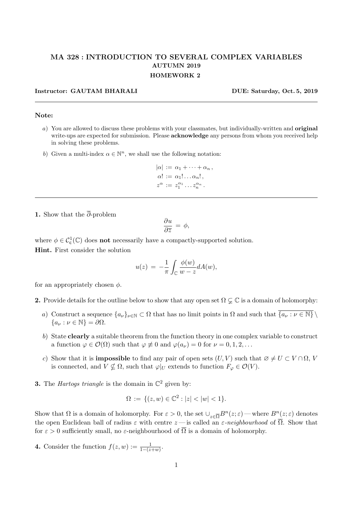## MA 328 : INTRODUCTION TO SEVERAL COMPLEX VARIABLES AUTUMN 2019 HOMEWORK 2

## Instructor: GAUTAM BHARALI DUE: Saturday, Oct. 5, 2019

## Note:

- a) You are allowed to discuss these problems with your classmates, but individually-written and original write-ups are expected for submission. Please **acknowledge** any persons from whom you received help in solving these problems.
- b) Given a multi-index  $\alpha \in \mathbb{N}^n$ , we shall use the following notation:

$$
|\alpha| := \alpha_1 + \cdots + \alpha_n,
$$
  
\n
$$
\alpha! := \alpha_1! \dots \alpha_n!,
$$
  
\n
$$
z^{\alpha} := z_1^{\alpha_1} \dots z_n^{\alpha_n}.
$$

1. Show that the  $\overline{\partial}$ -problem

$$
\frac{\partial u}{\partial \overline{z}} = \phi,
$$

where  $\phi \in C_c^1(\mathbb{C})$  does **not** necessarily have a compactly-supported solution. Hint. First consider the solution

$$
u(z) = -\frac{1}{\pi} \int_{\mathbb{C}} \frac{\phi(w)}{w - z} dA(w),
$$

for an appropriately chosen  $\phi$ .

2. Provide details for the outline below to show that any open set  $\Omega \subsetneq \mathbb{C}$  is a domain of holomorphy:

- a) Construct a sequence  $\{a_{\nu}\}_{\nu\in\mathbb{N}}\subset\Omega$  that has no limit points in  $\Omega$  and such that  $\overline{\{a_{\nu}:\nu\in\mathbb{N}\}}\setminus\overline{\{a_{\nu}:\nu\in\mathbb{N}\}}$  ${a_{\nu} : \nu \in \mathbb{N}} = \partial \Omega.$
- b) State clearly a suitable theorem from the function theory in one complex variable to construct a function  $\varphi \in \mathcal{O}(\Omega)$  such that  $\varphi \not\equiv 0$  and  $\varphi(a_{\nu}) = 0$  for  $\nu = 0, 1, 2, ...$
- c) Show that it is **impossible** to find any pair of open sets  $(U, V)$  such that  $\emptyset \neq U \subset V \cap \Omega$ , V is connected, and  $V \nsubseteq \Omega$ , such that  $\varphi|_U$  extends to function  $F_{\varphi} \in \mathcal{O}(V)$ .
- **3.** The *Hartogs triangle* is the domain in  $\mathbb{C}^2$  given by:

$$
\Omega := \{ (z, w) \in \mathbb{C}^2 : |z| < |w| < 1 \}.
$$

Show that  $\Omega$  is a domain of holomorphy. For  $\varepsilon > 0$ , the set  $\cup_{z \in \overline{\Omega}} B^n(z;\varepsilon)$  — where  $B^n(z;\varepsilon)$  denotes the open Euclidean ball of radius  $\varepsilon$  with centre  $z$  — is called an  $\varepsilon$ -neighbourhood of  $\overline{\Omega}$ . Show that for  $\varepsilon > 0$  sufficiently small, no  $\varepsilon$ -neighbourhood of  $\overline{\Omega}$  is a domain of holomorphy.

**4.** Consider the function  $f(z, w) := \frac{1}{1 - (z + w)}$ .